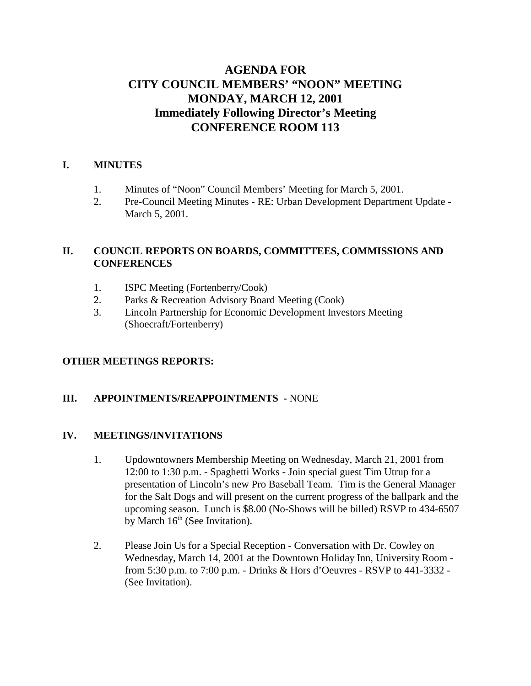# **AGENDA FOR CITY COUNCIL MEMBERS' "NOON" MEETING MONDAY, MARCH 12, 2001 Immediately Following Director's Meeting CONFERENCE ROOM 113**

#### **I. MINUTES**

- 1. Minutes of "Noon" Council Members' Meeting for March 5, 2001.
- 2. Pre-Council Meeting Minutes RE: Urban Development Department Update March 5, 2001.

#### **II. COUNCIL REPORTS ON BOARDS, COMMITTEES, COMMISSIONS AND CONFERENCES**

- 1. ISPC Meeting (Fortenberry/Cook)
- 2. Parks & Recreation Advisory Board Meeting (Cook)
- 3. Lincoln Partnership for Economic Development Investors Meeting (Shoecraft/Fortenberry)

## **OTHER MEETINGS REPORTS:**

#### **III. APPOINTMENTS/REAPPOINTMENTS -** NONE

#### **IV. MEETINGS/INVITATIONS**

- 1. Updowntowners Membership Meeting on Wednesday, March 21, 2001 from 12:00 to 1:30 p.m. - Spaghetti Works - Join special guest Tim Utrup for a presentation of Lincoln's new Pro Baseball Team. Tim is the General Manager for the Salt Dogs and will present on the current progress of the ballpark and the upcoming season. Lunch is \$8.00 (No-Shows will be billed) RSVP to 434-6507 by March  $16<sup>th</sup>$  (See Invitation).
- 2. Please Join Us for a Special Reception Conversation with Dr. Cowley on Wednesday, March 14, 2001 at the Downtown Holiday Inn, University Room from 5:30 p.m. to 7:00 p.m. - Drinks & Hors d'Oeuvres - RSVP to 441-3332 - (See Invitation).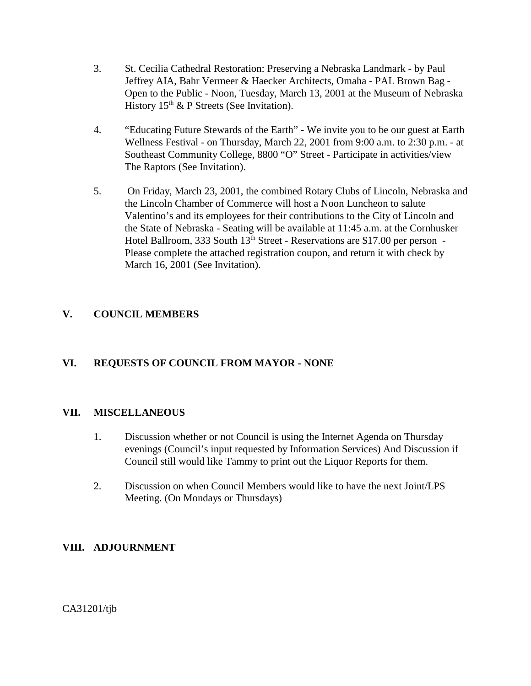- 3. St. Cecilia Cathedral Restoration: Preserving a Nebraska Landmark by Paul Jeffrey AIA, Bahr Vermeer & Haecker Architects, Omaha - PAL Brown Bag - Open to the Public - Noon, Tuesday, March 13, 2001 at the Museum of Nebraska History  $15<sup>th</sup>$  & P Streets (See Invitation).
- 4. "Educating Future Stewards of the Earth" We invite you to be our guest at Earth Wellness Festival - on Thursday, March 22, 2001 from 9:00 a.m. to 2:30 p.m. - at Southeast Community College, 8800 "O" Street - Participate in activities/view The Raptors (See Invitation).
- 5. On Friday, March 23, 2001, the combined Rotary Clubs of Lincoln, Nebraska and the Lincoln Chamber of Commerce will host a Noon Luncheon to salute Valentino's and its employees for their contributions to the City of Lincoln and the State of Nebraska - Seating will be available at 11:45 a.m. at the Cornhusker Hotel Ballroom, 333 South 13<sup>th</sup> Street - Reservations are \$17.00 per person -Please complete the attached registration coupon, and return it with check by March 16, 2001 (See Invitation).

## **V. COUNCIL MEMBERS**

## **VI. REQUESTS OF COUNCIL FROM MAYOR - NONE**

#### **VII. MISCELLANEOUS**

- 1. Discussion whether or not Council is using the Internet Agenda on Thursday evenings (Council's input requested by Information Services) And Discussion if Council still would like Tammy to print out the Liquor Reports for them.
- 2. Discussion on when Council Members would like to have the next Joint/LPS Meeting. (On Mondays or Thursdays)

## **VIII. ADJOURNMENT**

CA31201/tjb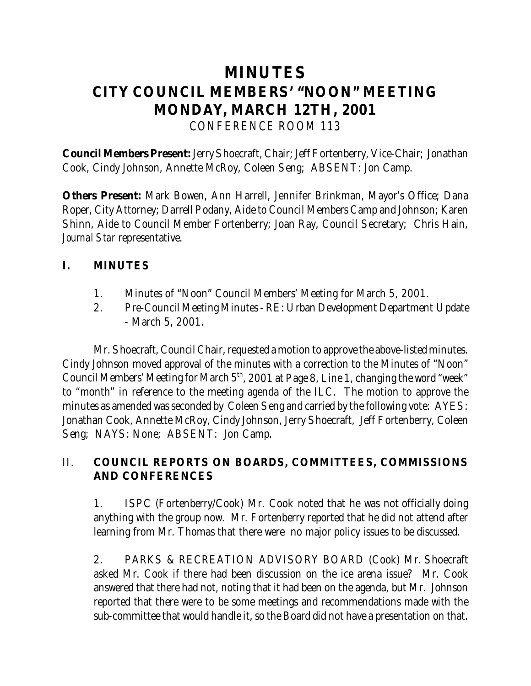# **MINUTES CITY COUNCIL MEMBERS' "NOON" MEETING MONDAY, MARCH 12TH, 2001** *CONFERENCE ROOM 113*

**Council Members Present:** Jerry Shoecraft, Chair; Jeff Fortenberry, Vice-Chair; Jonathan Cook, Cindy Johnson, Annette McRoy, Coleen Seng; ABSENT: Jon Camp.

**Others Present:** Mark Bowen, Ann Harrell, Jennifer Brinkman, Mayor's Office; Dana Roper, City Attorney; Darrell Podany, Aide to Council Members Camp and Johnson; Karen Shinn, Aide to Council Member Fortenberry; Joan Ray, Council Secretary; Chris Hain, *Journal Star* representative.

## **I. MINUTES**

- 1. Minutes of "Noon" Council Members' Meeting for March 5, 2001.
- 2. Pre-Council Meeting Minutes RE: Urban Development Department Update - March 5, 2001.

Mr. Shoecraft, Council Chair, requested a motion to approve the above-listed minutes. Cindy Johnson moved approval of the minutes with a correction to the Minutes of "Noon" Council Members' Meeting for March  $5<sup>th</sup>$ , 2001 at Page 8, Line 1, changing the word "week" to "month" in reference to the meeting agenda of the ILC. The motion to approve the minutes as amended was seconded by Coleen Seng and carried by the following vote: AYES: Jonathan Cook, Annette McRoy, Cindy Johnson, Jerry Shoecraft, Jeff Fortenberry, Coleen Seng; NAYS: None; ABSENT: Jon Camp.

# II. **COUNCIL REPORTS ON BOARDS, COMMITTEES, COMMISSIONS AND CONFERENCES**

 1. ISPC (Fortenberry/Cook) Mr. Cook noted that he was not officially doing anything with the group now. Mr. Fortenberry reported that he did not attend after learning from Mr. Thomas that there were no major policy issues to be discussed.

2. PARKS & RECREATION ADVISORY BOARD (Cook) Mr. Shoecraft asked Mr. Cook if there had been discussion on the ice arena issue? Mr. Cook answered that there had not, noting that it had been on the agenda, but Mr. Johnson reported that there were to be some meetings and recommendations made with the sub-committee that would handle it, so the Board did not have a presentation on that.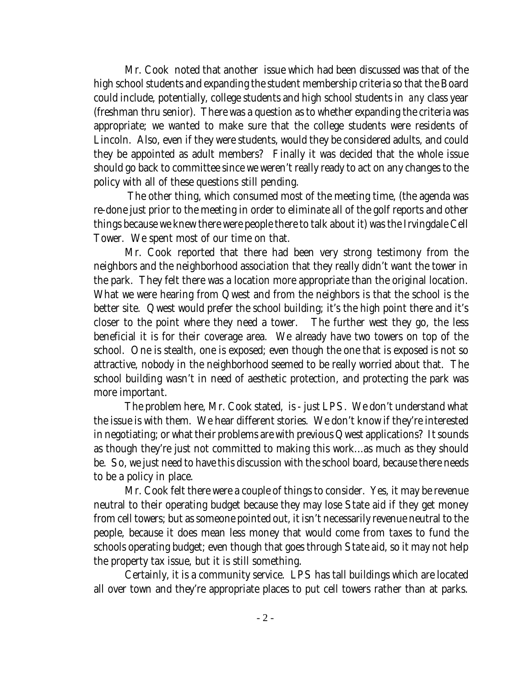Mr. Cook noted that another issue which had been discussed was that of the high school students and expanding the student membership criteria so that the Board could include, potentially, college students and high school students in *any* class year (freshman thru senior). There was a question as to whether expanding the criteria was appropriate; we wanted to make sure that the college students were residents of Lincoln. Also, even if they were students, would they be considered adults, and could they be appointed as adult members? Finally it was decided that the whole issue should go back to committee since we weren't really ready to act on any changes to the policy with all of these questions still pending.

 The other thing, which consumed most of the meeting time, (the agenda was re-done just prior to the meeting in order to eliminate all of the golf reports and other things because we knew there were people there to talk about it) was the Irvingdale Cell Tower. We spent most of our time on that.

Mr. Cook reported that there had been very strong testimony from the neighbors and the neighborhood association that they really didn't want the tower in the park. They felt there was a location more appropriate than the original location. What we were hearing from Qwest and from the neighbors is that the school is the better site. Qwest would prefer the school building; it's the high point there and it's closer to the point where they need a tower. The further west they go, the less beneficial it is for their coverage area. We already have two towers on top of the school. One is stealth, one is exposed; even though the one that is exposed is not so attractive, nobody in the neighborhood seemed to be really worried about that. The school building wasn't in need of aesthetic protection, and protecting the park was more important.

The problem here, Mr. Cook stated, is - just LPS. We don't understand what the issue is with them. We hear different stories. We don't know if they're interested in negotiating; or what their problems are with previous Qwest applications? It sounds as though they're just not committed to making this work...as much as they should be. So, we just need to have this discussion with the school board, because there needs to be a policy in place.

Mr. Cook felt there were a couple of things to consider. Yes, it may be revenue neutral to their operating budget because they may lose State aid if they get money from cell towers; but as someone pointed out, it isn't necessarily revenue neutral to the people, because it does mean less money that would come from taxes to fund the schools operating budget; even though that goes through State aid, so it may not help the property tax issue, but it is still something.

Certainly, it is a community service. LPS has tall buildings which are located all over town and they're appropriate places to put cell towers rather than at parks.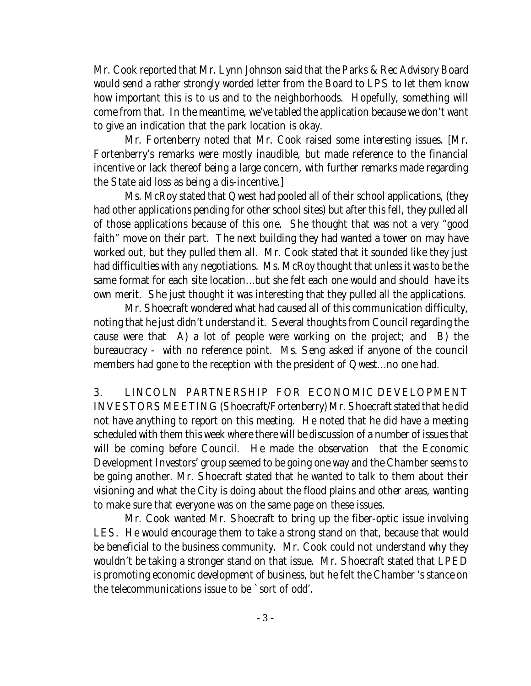Mr. Cook reported that Mr. Lynn Johnson said that the Parks & Rec Advisory Board would send a rather strongly worded letter from the Board to LPS to let them know how important this is to us and to the neighborhoods. Hopefully, something will come from that. In the meantime, we've tabled the application because we don't want to give an indication that the park location is okay.

Mr. Fortenberry noted that Mr. Cook raised some interesting issues. [Mr. Fortenberry's remarks were mostly inaudible, but made reference to the financial incentive or lack thereof being a large concern, with further remarks made regarding the State aid loss as being a dis-incentive.]

Ms. McRoy stated that Qwest had pooled all of their school applications, (they had other applications pending for other school sites) but after this fell, they pulled all of those applications because of this one. She thought that was not a very "good faith" move on their part. The next building they had wanted a tower on may have worked out, but they pulled them all. Mr. Cook stated that it sounded like they just had difficulties with *any* negotiations. Ms. McRoy thought that unless it was to be the same format for each site location...but she felt each one would and should have its own merit. She just thought it was interesting that they pulled all the applications.

Mr. Shoecraft wondered what had caused all of this communication difficulty, noting that he just didn't understand it. Several thoughts from Council regarding the cause were that A) a lot of people were working on the project; and B) the bureaucracy - with no reference point. Ms. Seng asked if anyone of the council members had gone to the reception with the president of Qwest...no one had.

3. LINCOLN PARTNERSHIP FOR ECONOMIC DEVELOPMENT INVESTORS MEETING (Shoecraft/Fortenberry) Mr. Shoecraft stated that he did not have anything to report on this meeting. He noted that he did have a meeting scheduled with them this week where there will be discussion of a number of issues that will be coming before Council. He made the observation that the Economic Development Investors' group seemed to be going one way and the Chamber seems to be going another. Mr. Shoecraft stated that he wanted to talk to them about their visioning and what the City is doing about the flood plains and other areas, wanting to make sure that everyone was on the same page on these issues.

Mr. Cook wanted Mr. Shoecraft to bring up the fiber-optic issue involving LES. He would encourage them to take a strong stand on that, because that would be beneficial to the business community. Mr. Cook could not understand why they wouldn't be taking a stronger stand on that issue. Mr. Shoecraft stated that LPED is promoting economic development of business, but he felt the Chamber 's stance on the telecommunications issue to be `sort of odd'.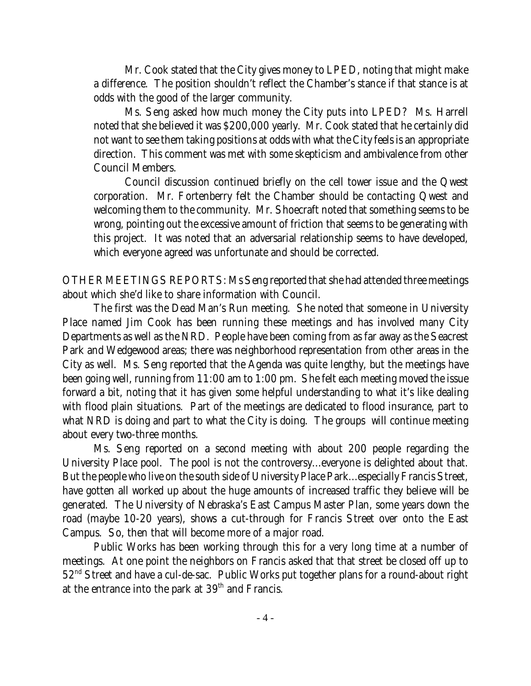Mr. Cook stated that the City gives money to LPED, noting that might make a difference. The position shouldn't reflect the Chamber's stance if that stance is at odds with the good of the larger community.

Ms. Seng asked how much money the City puts into LPED? Ms. Harrell noted that she believed it was \$200,000 yearly. Mr. Cook stated that he certainly did not want to see them taking positions at odds with what the City feels is an appropriate direction. This comment was met with some skepticism and ambivalence from other Council Members.

Council discussion continued briefly on the cell tower issue and the Qwest corporation. Mr. Fortenberry felt the Chamber should be contacting Qwest and welcoming them to the community. Mr. Shoecraft noted that something seems to be wrong, pointing out the excessive amount of friction that seems to be generating with this project. It was noted that an adversarial relationship seems to have developed, which everyone agreed was unfortunate and should be corrected.

OTHER MEETINGS REPORTS: Ms Seng reported that she had attended three meetings about which she'd like to share information with Council.

The first was the Dead Man's Run meeting. She noted that someone in University Place named Jim Cook has been running these meetings and has involved many City Departments as well as the NRD. People have been coming from as far away as the Seacrest Park and Wedgewood areas; there was neighborhood representation from other areas in the City as well. Ms. Seng reported that the Agenda was quite lengthy, but the meetings have been going well, running from 11:00 am to 1:00 pm. She felt each meeting moved the issue forward a bit, noting that it has given some helpful understanding to what it's like dealing with flood plain situations. Part of the meetings are dedicated to flood insurance, part to what NRD is doing and part to what the City is doing. The groups will continue meeting about every two-three months.

Ms. Seng reported on a second meeting with about 200 people regarding the University Place pool. The pool is not the controversy...everyone is delighted about that. But the people who live on the south side of University Place Park...especially Francis Street, have gotten all worked up about the huge amounts of increased traffic they believe will be generated. The University of Nebraska's East Campus Master Plan, some years down the road (maybe 10-20 years), shows a cut-through for Francis Street over onto the East Campus. So, then that will become more of a major road.

Public Works has been working through this for a very long time at a number of meetings. At one point the neighbors on Francis asked that that street be closed off up to 52nd Street and have a cul-de-sac. Public Works put together plans for a round-about right at the entrance into the park at  $39<sup>th</sup>$  and Francis.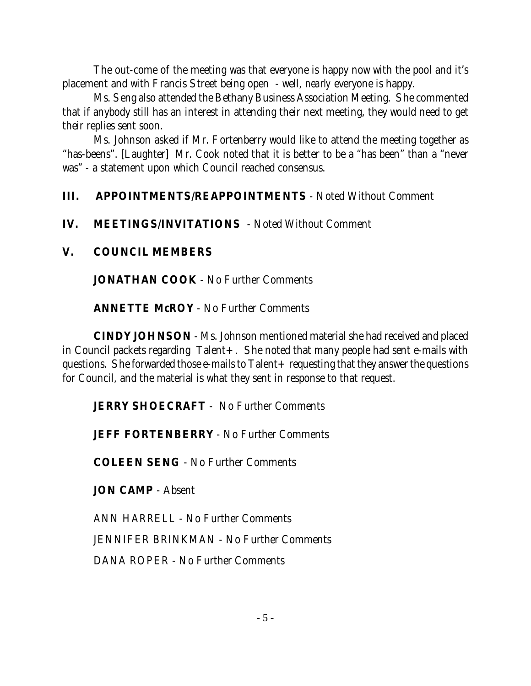The out-come of the meeting was that everyone is happy now with the pool and it's placement and with Francis Street being open - well, *nearly* everyone is happy.

Ms. Seng also attended the Bethany Business Association Meeting. She commented that if anybody still has an interest in attending their next meeting, they would need to get their replies sent soon.

Ms. Johnson asked if Mr. Fortenberry would like to attend the meeting together as "has-beens". [Laughter] Mr. Cook noted that it is better to be a "has been" than a "never was" - a statement upon which Council reached consensus.

# **III. APPOINTMENTS/REAPPOINTMENTS** - Noted Without Comment

# **IV. MEETINGS/INVITATIONS** - Noted Without Comment

## **V. COUNCIL MEMBERS**

**JONATHAN COOK** - No Further Comments

**ANNETTE McROY** - No Further Comments

**CINDY JOHNSON** - Ms. Johnson mentioned material she had received and placed in Council packets regarding Talent+. She noted that many people had sent e-mails with questions. She forwarded those e-mails to Talent+ requesting that they answer the questions for Council, and the material is what they sent in response to that request.

# **JERRY SHOECRAFT** - No Further Comments

**JEFF FORTENBERRY** - No Further Comments

**COLEEN SENG** - No Further Comments

**JON CAMP** - Absent

ANN HARRELL - No Further Comments JENNIFER BRINKMAN - No Further Comments DANA ROPER - No Further Comments